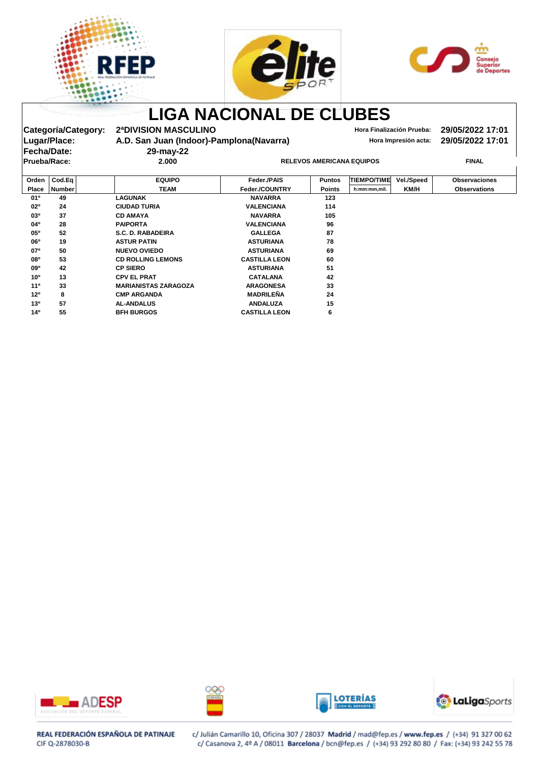





## **LIGA NACIONAL DE CLUBES Categoría/Category: 2ªDIVISION MASCULINO Hora Finalización Prueba: 29/05/2022 17:01** Lugar/Place: **A.D. San Juan (Indoor)-Pamplona(Navarra) Hora Impresión acta:** 29/05/2022 17:01 **Fecha/Date: 29-may-22 Prueba/Race: 2.000 RELEVOS AMERICANA EQUIPOS FINAL Orden Cod.Eq EQUIPO Feder./PAIS Puntos TIEMPO/TIME Vel./Speed Observaciones Place Number TEAM Feder./COUNTRY Points h:mm:mm,mil. KM/H Observations 01º 49 LAGUNAK LAGUNAK NAVARRA 123 02º 24 CIUDAD TURIA VALENCIANA 114 03º 37 CD AMAYA CD AMAYA NAVARRA 105 04º 28 PAIPORTA PAIPORTA VALENCIANA 96 05º 52S.C. D. RABADEIRAS.C. D. RABADEIRA GALLEGA 87 06º 19 ASTUR PATINASTUR PATIN ASTURIANA 78 07º 50 NUEVO OVIEDO ASTURIANA 69 08º 53CD ROLLING LEMONS CD ROLLING LEMONS CASTILLA LEON 60 09º 42 CP SIERO CP SIERO ASTURIANA 51 10º 13 CPV EL PRAT CATALANA 42 11º MARIANISTAS ZARAGOZA 33 MARIANISTAS ZARAGOZA ARAGONESA 33** 12º 8 CMP ARGANDA **MADRILEÑA** 24 **13º 57 AL-ANDALUSAL-ANDALUS ANDALUZA 15 14º 55 BFH BURGOSBFH BURGOS CASTILLA LEON 6**









## REAL FEDERACIÓN ESPAÑOLA DE PATINAJE CIF Q-2878030-B

c/ Julián Camarillo 10, Oficina 307 / 28037 Madrid / mad@fep.es / www.fep.es / (+34) 91 327 00 62 c/ Casanova 2, 4º A / 08011 Barcelona / bcn@fep.es / (+34) 93 292 80 80 / Fax: (+34) 93 242 55 78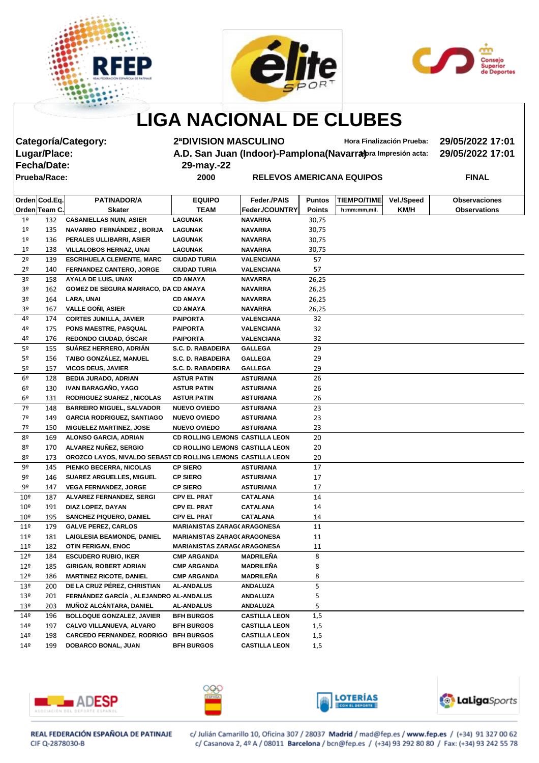





**LIGA NACIONAL DE CLUBES**

**Fecha/Date: 29-may.-22**

**Categoría/Category: 2ªDIVISION MASCULINO Hora Finalización Prueba: 29/05/2022 17:01 A.D. San Juan (Indoor)-Pamplona(Navarra)** *praimpresión acta:* **29/05/2022 17:01** 

**Prueba/Race: 2000 RELEVOS AMERICANA EQUIPOS FINAL**

|                 | Orden Cod.Eq. | <b>PATINADOR/A</b>                                           | <b>EQUIPO</b>                          | Feder./PAIS          | <b>Puntos</b> | <b>TIEMPO/TIME</b> | Vel./Speed | <b>Observaciones</b> |
|-----------------|---------------|--------------------------------------------------------------|----------------------------------------|----------------------|---------------|--------------------|------------|----------------------|
|                 | Orden Team C. | <b>Skater</b>                                                | <b>TEAM</b>                            | Feder./COUNTRY       | <b>Points</b> | h:mm:mm,mil.       | KM/H       | <b>Observations</b>  |
| 1 <sup>°</sup>  | 132           | <b>CASANIELLAS NUIN, ASIER</b>                               | <b>LAGUNAK</b>                         | <b>NAVARRA</b>       | 30,75         |                    |            |                      |
| 1 <sup>°</sup>  | 135           | NAVARRO FERNÁNDEZ, BORJA                                     | <b>LAGUNAK</b>                         | <b>NAVARRA</b>       | 30,75         |                    |            |                      |
| 1 <sup>°</sup>  | 136           | PERALES ULLIBARRI, ASIER                                     | <b>LAGUNAK</b>                         | <b>NAVARRA</b>       | 30,75         |                    |            |                      |
| 1 <sup>°</sup>  | 138           | <b>VILLALOBOS HERNAZ, UNAI</b>                               | <b>LAGUNAK</b>                         | <b>NAVARRA</b>       | 30,75         |                    |            |                      |
| 2 <sup>o</sup>  | 139           | <b>ESCRIHUELA CLEMENTE, MARC</b>                             | <b>CIUDAD TURIA</b>                    | <b>VALENCIANA</b>    | 57            |                    |            |                      |
| 2 <sup>o</sup>  | 140           | FERNANDEZ CANTERO, JORGE                                     | <b>CIUDAD TURIA</b>                    | <b>VALENCIANA</b>    | 57            |                    |            |                      |
| 3 <sup>o</sup>  | 158           | <b>AYALA DE LUIS, UNAX</b>                                   | <b>CD AMAYA</b>                        | <b>NAVARRA</b>       | 26,25         |                    |            |                      |
| 3 <sup>o</sup>  | 162           | GOMEZ DE SEGURA MARRACO, DA CD AMAYA                         |                                        | <b>NAVARRA</b>       | 26,25         |                    |            |                      |
| 3º              | 164           | LARA, UNAI                                                   | <b>CD AMAYA</b>                        | <b>NAVARRA</b>       | 26,25         |                    |            |                      |
| 3º              | 167           | <b>VALLE GONI, ASIER</b>                                     | <b>CD AMAYA</b>                        | <b>NAVARRA</b>       | 26,25         |                    |            |                      |
| 4º              | 174           | <b>CORTES JUMILLA, JAVIER</b>                                | <b>PAIPORTA</b>                        | <b>VALENCIANA</b>    | 32            |                    |            |                      |
| 4º              | 175           | PONS MAESTRE, PASQUAL                                        | <b>PAIPORTA</b>                        | <b>VALENCIANA</b>    | 32            |                    |            |                      |
| 4º              | 176           | REDONDO CIUDAD, ÓSCAR                                        | <b>PAIPORTA</b>                        | <b>VALENCIANA</b>    | 32            |                    |            |                      |
| 5º              | 155           | SUÁREZ HERRERO, ADRIÁN                                       | S.C. D. RABADEIRA                      | <b>GALLEGA</b>       | 29            |                    |            |                      |
| 5º              | 156           | TAIBO GONZÁLEZ, MANUEL                                       | S.C. D. RABADEIRA                      | <b>GALLEGA</b>       | 29            |                    |            |                      |
| 5º              | 157           | <b>VICOS DEUS, JAVIER</b>                                    | S.C. D. RABADEIRA                      | <b>GALLEGA</b>       | 29            |                    |            |                      |
| 6º              | 128           | <b>BEDIA JURADO, ADRIAN</b>                                  | <b>ASTUR PATIN</b>                     | <b>ASTURIANA</b>     | 26            |                    |            |                      |
| 6º              | 130           | IVAN BARAGAÑO, YAGO                                          | <b>ASTUR PATIN</b>                     | <b>ASTURIANA</b>     | 26            |                    |            |                      |
| 6º              | 131           | <b>RODRIGUEZ SUAREZ, NICOLAS</b>                             | <b>ASTUR PATIN</b>                     | <b>ASTURIANA</b>     | 26            |                    |            |                      |
| 7º              | 148           | <b>BARREIRO MIGUEL, SALVADOR</b>                             | <b>NUEVO OVIEDO</b>                    | <b>ASTURIANA</b>     | 23            |                    |            |                      |
| 7º              | 149           | <b>GARCIA RODRIGUEZ, SANTIAGO</b>                            | <b>NUEVO OVIEDO</b>                    | <b>ASTURIANA</b>     | 23            |                    |            |                      |
| 7º              | 150           | <b>MIGUELEZ MARTINEZ, JOSE</b>                               | <b>NUEVO OVIEDO</b>                    | <b>ASTURIANA</b>     | 23            |                    |            |                      |
| 8º              | 169           | ALONSO GARCIA, ADRIAN                                        | <b>CD ROLLING LEMONS CASTILLA LEON</b> |                      | 20            |                    |            |                      |
| 8º              | 170           | ALVAREZ NUÑEZ, SERGIO                                        | <b>CD ROLLING LEMONS CASTILLA LEON</b> |                      | 20            |                    |            |                      |
| 8º              | 173           | OROZCO LAYOS, NIVALDO SEBAST CD ROLLING LEMONS CASTILLA LEON |                                        |                      | 20            |                    |            |                      |
| 9º              | 145           | PIENKO BECERRA, NICOLAS                                      | <b>CP SIERO</b>                        | <b>ASTURIANA</b>     | 17            |                    |            |                      |
| 9º              | 146           | <b>SUAREZ ARGUELLES, MIGUEL</b>                              | <b>CP SIERO</b>                        | <b>ASTURIANA</b>     | 17            |                    |            |                      |
| 9º              | 147           | <b>VEGA FERNANDEZ, JORGE</b>                                 | <b>CP SIERO</b>                        | <b>ASTURIANA</b>     | 17            |                    |            |                      |
| 10 <sup>°</sup> | 187           | <b>ALVAREZ FERNANDEZ, SERGI</b>                              | <b>CPV EL PRAT</b>                     | <b>CATALANA</b>      | 14            |                    |            |                      |
| 10 <sup>°</sup> | 191           | DIAZ LOPEZ, DAYAN                                            | <b>CPV EL PRAT</b>                     | <b>CATALANA</b>      | 14            |                    |            |                      |
| 10 <sup>°</sup> | 195           | <b>SANCHEZ PIQUERO, DANIEL</b>                               | <b>CPV EL PRAT</b>                     | <b>CATALANA</b>      | 14            |                    |            |                      |
| $11^{\circ}$    | 179           | <b>GALVE PEREZ, CARLOS</b>                                   | <b>MARIANISTAS ZARAG(ARAGONESA</b>     |                      | 11            |                    |            |                      |
| $11^{\circ}$    | 181           | <b>LAIGLESIA BEAMONDE, DANIEL</b>                            | <b>MARIANISTAS ZARAG( ARAGONESA</b>    |                      | 11            |                    |            |                      |
| 11 <sup>°</sup> | 182           | <b>OTIN FERIGAN, ENOC</b>                                    | <b>MARIANISTAS ZARAG( ARAGONESA</b>    |                      | 11            |                    |            |                      |
| 12 <sup>°</sup> | 184           | <b>ESCUDERO RUBIO, IKER</b>                                  | <b>CMP ARGANDA</b>                     | <b>MADRILEÑA</b>     | 8             |                    |            |                      |
| $12^{\circ}$    | 185           | <b>GIRIGAN, ROBERT ADRIAN</b>                                | <b>CMP ARGANDA</b>                     | <b>MADRILEÑA</b>     | 8             |                    |            |                      |
| 12 <sup>°</sup> | 186           | <b>MARTINEZ RICOTE, DANIEL</b>                               | <b>CMP ARGANDA</b>                     | <b>MADRILEÑA</b>     | 8             |                    |            |                      |
| 13 <sup>°</sup> | 200           | DE LA CRUZ PÉREZ, CHRISTIAN                                  | <b>AL-ANDALUS</b>                      | <b>ANDALUZA</b>      | 5             |                    |            |                      |
| 13 <sup>°</sup> | 201           | FERNÁNDEZ GARCÍA, ALEJANDRO AL-ANDALUS                       |                                        | <b>ANDALUZA</b>      | 5             |                    |            |                      |
| 13 <sup>°</sup> | 203           | MUÑOZ ALCÁNTARA, DANIEL                                      | <b>AL-ANDALUS</b>                      | <b>ANDALUZA</b>      | 5             |                    |            |                      |
| 14 <sup>°</sup> | 196           | <b>BOLLOQUE GONZALEZ, JAVIER</b>                             | <b>BFH BURGOS</b>                      | <b>CASTILLA LEON</b> | 1,5           |                    |            |                      |
| 14 <sup>°</sup> | 197           | CALVO VILLANUEVA, ALVARO                                     | <b>BFH BURGOS</b>                      | <b>CASTILLA LEON</b> | 1,5           |                    |            |                      |
| 14º             | 198           | <b>CARCEDO FERNANDEZ, RODRIGO</b>                            | <b>BFH BURGOS</b>                      | <b>CASTILLA LEON</b> | 1,5           |                    |            |                      |
| 14º             | 199           | DOBARCO BONAL, JUAN                                          | <b>BFH BURGOS</b>                      | <b>CASTILLA LEON</b> | 1,5           |                    |            |                      |
|                 |               |                                                              |                                        |                      |               |                    |            |                      |









REAL FEDERACIÓN ESPAÑOLA DE PATINAJE CIF Q-2878030-B

c/ Julián Camarillo 10, Oficina 307 / 28037 Madrid / mad@fep.es / www.fep.es / (+34) 91 327 00 62 c/ Casanova 2, 4º A / 08011 Barcelona / bcn@fep.es / (+34) 93 292 80 80 / Fax: (+34) 93 242 55 78